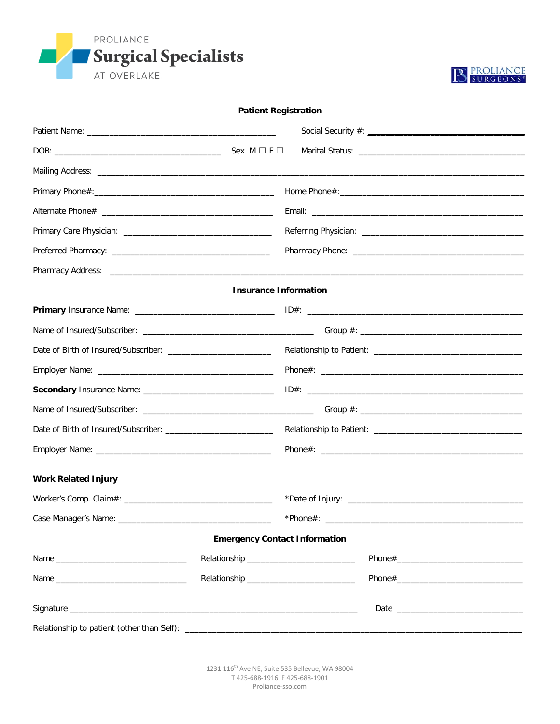



#### **Patient Registration**

|                            | <b>Insurance Information</b>             |  |  |  |
|----------------------------|------------------------------------------|--|--|--|
|                            |                                          |  |  |  |
|                            |                                          |  |  |  |
|                            |                                          |  |  |  |
|                            |                                          |  |  |  |
|                            |                                          |  |  |  |
|                            |                                          |  |  |  |
|                            |                                          |  |  |  |
|                            |                                          |  |  |  |
| <b>Work Related Injury</b> |                                          |  |  |  |
|                            |                                          |  |  |  |
|                            |                                          |  |  |  |
|                            | <b>Emergency Contact Information</b>     |  |  |  |
| Name                       |                                          |  |  |  |
|                            | Relationship ___________________________ |  |  |  |
|                            |                                          |  |  |  |
|                            |                                          |  |  |  |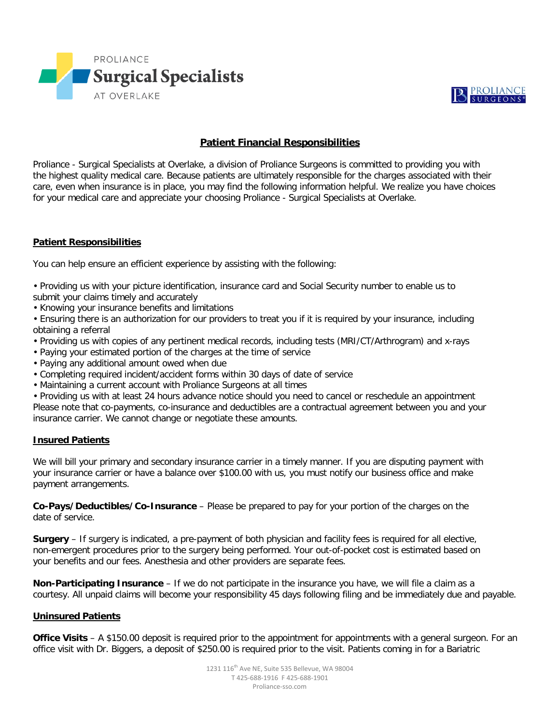



## **Patient Financial Responsibilities**

Proliance - Surgical Specialists at Overlake, a division of Proliance Surgeons is committed to providing you with the highest quality medical care. Because patients are ultimately responsible for the charges associated with their care, even when insurance is in place, you may find the following information helpful. We realize you have choices for your medical care and appreciate your choosing Proliance - Surgical Specialists at Overlake.

#### **Patient Responsibilities**

You can help ensure an efficient experience by assisting with the following:

- Providing us with your picture identification, insurance card and Social Security number to enable us to submit your claims timely and accurately
- Knowing your insurance benefits and limitations

• Ensuring there is an authorization for our providers to treat you if it is required by your insurance, including obtaining a referral

- Providing us with copies of any pertinent medical records, including tests (MRI/CT/Arthrogram) and x-rays
- Paying your estimated portion of the charges at the time of service
- Paying any additional amount owed when due
- Completing required incident/accident forms within 30 days of date of service
- Maintaining a current account with Proliance Surgeons at all times

• Providing us with at least 24 hours advance notice should you need to cancel or reschedule an appointment Please note that co-payments, co-insurance and deductibles are a contractual agreement between you and your insurance carrier. We cannot change or negotiate these amounts.

#### **Insured Patients**

We will bill your primary and secondary insurance carrier in a timely manner. If you are disputing payment with your insurance carrier or have a balance over \$100.00 with us, you must notify our business office and make payment arrangements.

**Co-Pays/Deductibles/Co-Insurance** – Please be prepared to pay for your portion of the charges on the date of service.

**Surgery** – If surgery is indicated, a pre-payment of both physician and facility fees is required for all elective, non-emergent procedures prior to the surgery being performed. Your out-of-pocket cost is estimated based on your benefits and our fees. Anesthesia and other providers are separate fees.

**Non-Participating Insurance** – If we do not participate in the insurance you have, we will file a claim as a courtesy. All unpaid claims will become your responsibility 45 days following filing and be immediately due and payable.

#### **Uninsured Patients**

**Office Visits** – A \$150.00 deposit is required prior to the appointment for appointments with a general surgeon. For an office visit with Dr. Biggers, a deposit of \$250.00 is required prior to the visit. Patients coming in for a Bariatric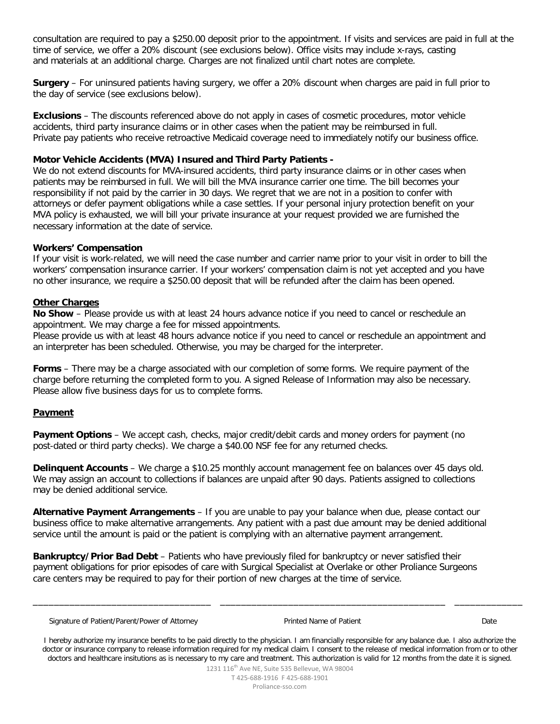consultation are required to pay a \$250.00 deposit prior to the appointment. If visits and services are paid in full at the time of service, we offer a 20% discount (see exclusions below). Office visits may include x-rays, casting and materials at an additional charge. Charges are not finalized until chart notes are complete.

**Surgery** – For uninsured patients having surgery, we offer a 20% discount when charges are paid in full prior to the day of service (see exclusions below).

**Exclusions** – The discounts referenced above do not apply in cases of cosmetic procedures, motor vehicle accidents, third party insurance claims or in other cases when the patient may be reimbursed in full. Private pay patients who receive retroactive Medicaid coverage need to immediately notify our business office.

#### **Motor Vehicle Accidents (MVA) Insured and Third Party Patients -**

We do not extend discounts for MVA-insured accidents, third party insurance claims or in other cases when patients may be reimbursed in full. We will bill the MVA insurance carrier one time. The bill becomes your responsibility if not paid by the carrier in 30 days. We regret that we are not in a position to confer with attorneys or defer payment obligations while a case settles. If your personal injury protection benefit on your MVA policy is exhausted, we will bill your private insurance at your request provided we are furnished the necessary information at the date of service.

#### **Workers' Compensation**

If your visit is work-related, we will need the case number and carrier name prior to your visit in order to bill the workers' compensation insurance carrier. If your workers' compensation claim is not yet accepted and you have no other insurance, we require a \$250.00 deposit that will be refunded after the claim has been opened.

#### **Other Charges**

**No Show** – Please provide us with at least 24 hours advance notice if you need to cancel or reschedule an appointment. We may charge a fee for missed appointments.

Please provide us with at least 48 hours advance notice if you need to cancel or reschedule an appointment and an interpreter has been scheduled. Otherwise, you may be charged for the interpreter.

**Forms** – There may be a charge associated with our completion of some forms. We require payment of the charge before returning the completed form to you. A signed Release of Information may also be necessary. Please allow five business days for us to complete forms.

#### **Payment**

**Payment Options** – We accept cash, checks, major credit/debit cards and money orders for payment (no post-dated or third party checks). We charge a \$40.00 NSF fee for any returned checks.

**Delinquent Accounts** – We charge a \$10.25 monthly account management fee on balances over 45 days old. We may assign an account to collections if balances are unpaid after 90 days. Patients assigned to collections may be denied additional service.

**Alternative Payment Arrangements** – If you are unable to pay your balance when due, please contact our business office to make alternative arrangements. Any patient with a past due amount may be denied additional service until the amount is paid or the patient is complying with an alternative payment arrangement.

**Bankruptcy/Prior Bad Debt** – Patients who have previously filed for bankruptcy or never satisfied their payment obligations for prior episodes of care with Surgical Specialist at Overlake or other Proliance Surgeons care centers may be required to pay for their portion of new charges at the time of service.

Signature of Patient/Parent/Power of Attorney **Printed Name of Patient Communisty Constant Constant Constant Date** 

\_\_\_\_\_\_\_\_\_\_\_\_\_\_\_\_\_\_\_\_\_\_\_\_\_\_\_\_\_\_\_\_\_\_ \_\_\_\_\_\_\_\_\_\_\_\_\_\_\_\_\_\_\_\_\_\_\_\_\_\_\_\_\_\_\_\_\_\_\_\_\_\_\_\_\_\_\_ \_\_\_\_\_\_\_\_\_\_\_\_\_

I hereby authorize my insurance benefits to be paid directly to the physician. I am financially responsible for any balance due. I also authorize the doctor or insurance company to release information required for my medical claim. I consent to the release of medical information from or to other doctors and healthcare insitutions as is necessary to my care and treatment. This authorization is valid for 12 months from the date it is signed.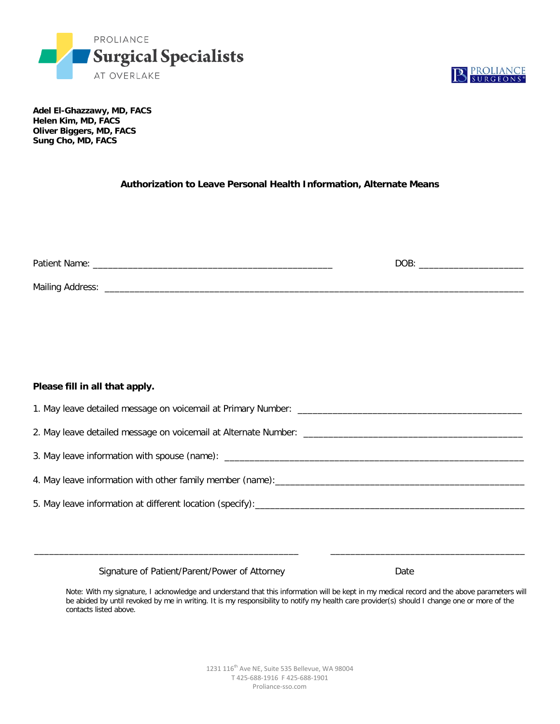



**Adel El-Ghazzawy, MD, FACS Helen Kim, MD, FACS Oliver Biggers, MD, FACS Sung Cho, MD, FACS** 

#### **Authorization to Leave Personal Health Information, Alternate Means**

| Patient Name:           | <b>DOB</b> |  |
|-------------------------|------------|--|
| <b>Mailing Address:</b> |            |  |

#### **Please fill in all that apply.**

| 3. May leave information with spouse (name): ___________________________________ |
|----------------------------------------------------------------------------------|
|                                                                                  |
|                                                                                  |
|                                                                                  |

\_\_\_\_\_\_\_\_\_\_\_\_\_\_\_\_\_\_\_\_\_\_\_\_\_\_\_\_\_\_\_\_\_\_\_\_\_\_\_\_\_\_\_\_\_\_\_\_\_\_\_\_\_ \_\_\_\_\_\_\_\_\_\_\_\_\_\_\_\_\_\_\_\_\_\_\_\_\_\_\_\_\_\_\_\_\_\_\_\_\_\_\_

Signature of Patient/Parent/Power of Attorney Mate

Note: With my signature, I acknowledge and understand that this information will be kept in my medical record and the above parameters will be abided by until revoked by me in writing. It is my responsibility to notify my health care provider(s) should I change one or more of the contacts listed above.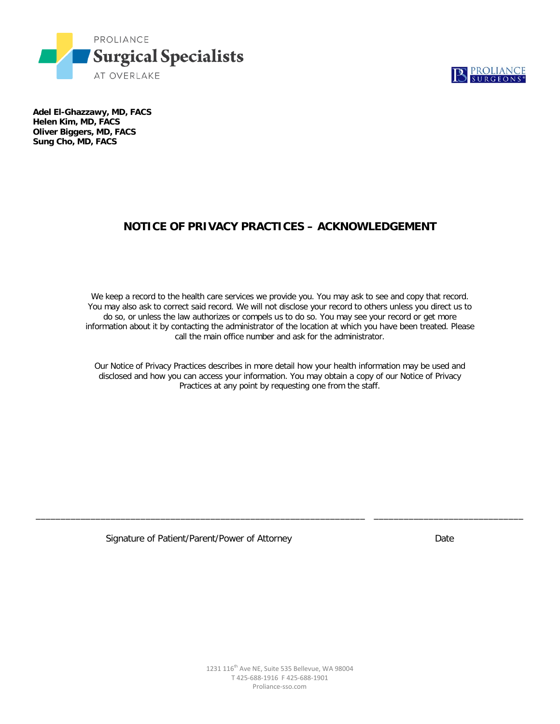



**Adel El-Ghazzawy, MD, FACS Helen Kim, MD, FACS Oliver Biggers, MD, FACS Sung Cho, MD, FACS** 

# **NOTICE OF PRIVACY PRACTICES – ACKNOWLEDGEMENT**

We keep a record to the health care services we provide you. You may ask to see and copy that record. You may also ask to correct said record. We will not disclose your record to others unless you direct us to do so, or unless the law authorizes or compels us to do so. You may see your record or get more information about it by contacting the administrator of the location at which you have been treated. Please call the main office number and ask for the administrator.

Our Notice of Privacy Practices describes in more detail how your health information may be used and disclosed and how you can access your information. You may obtain a copy of our Notice of Privacy Practices at any point by requesting one from the staff.

\_\_\_\_\_\_\_\_\_\_\_\_\_\_\_\_\_\_\_\_\_\_\_\_\_\_\_\_\_\_\_\_\_\_\_\_\_\_\_\_\_\_\_\_\_\_\_\_\_\_\_\_\_\_\_\_\_\_\_\_\_\_\_\_\_\_ \_\_\_\_\_\_\_\_\_\_\_\_\_\_\_\_\_\_\_\_\_\_\_\_\_\_\_\_\_\_

Signature of Patient/Parent/Power of Attorney Date Date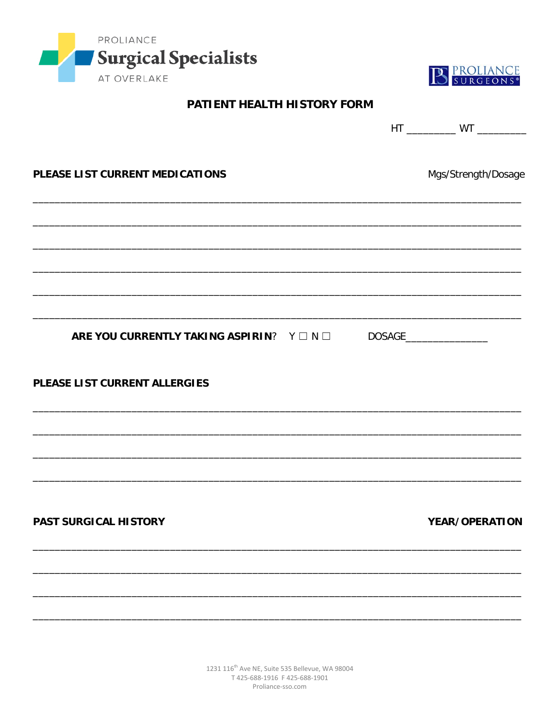



# PATIENT HEALTH HISTORY FORM

|                                                                         | HT _____________ WT ____________ |
|-------------------------------------------------------------------------|----------------------------------|
| PLEASE LIST CURRENT MEDICATIONS                                         | Mgs/Strength/Dosage              |
|                                                                         |                                  |
|                                                                         |                                  |
|                                                                         |                                  |
| ARE YOU CURRENTLY TAKING ASPIRIN? Y $\Box N \Box$ DOSAGE_______________ |                                  |
| PLEASE LIST CURRENT ALLERGIES                                           |                                  |
|                                                                         |                                  |
|                                                                         |                                  |
| PAST SURGICAL HISTORY                                                   | YEAR/OPERATION                   |
|                                                                         |                                  |
|                                                                         |                                  |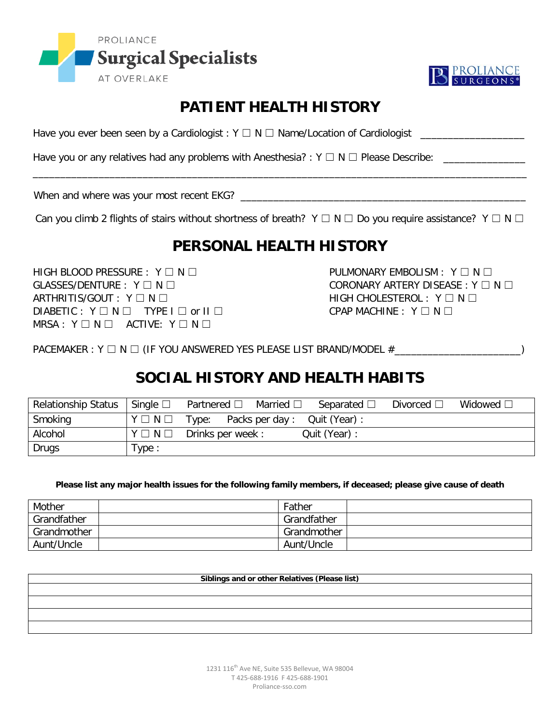



# **PATIENT HEALTH HISTORY**

Have you ever been seen by a Cardiologist : Y ☐ N ☐ Name/Location of Cardiologist \_\_\_\_\_\_\_\_\_\_\_\_\_\_\_\_\_\_\_

Have you or any relatives had any problems with Anesthesia? :  $Y \square N \square$  Please Describe:

When and where was your most recent EKG? \_\_\_\_\_\_\_\_\_\_\_\_\_\_\_\_\_\_\_\_\_\_\_\_\_\_\_\_\_\_\_\_\_\_\_\_\_\_\_\_\_\_\_\_\_\_\_\_\_\_\_\_

Can you climb 2 flights of stairs without shortness of breath?  $Y \Box N \Box$  Do you require assistance?  $Y \Box N \Box$ 

\_\_\_\_\_\_\_\_\_\_\_\_\_\_\_\_\_\_\_\_\_\_\_\_\_\_\_\_\_\_\_\_\_\_\_\_\_\_\_\_\_\_\_\_\_\_\_\_\_\_\_\_\_\_\_\_\_\_\_\_\_\_\_\_\_\_\_\_\_\_\_\_\_\_\_\_\_\_\_\_\_\_\_\_\_\_\_\_\_\_

# **PERSONAL HEALTH HISTORY**

HIGH BLOOD PRESSURE : Y ☐ N ☐ PULMONARY EMBOLISM : Y ☐ N ☐ GLASSES/DENTURE : Y ☐ N ☐ CORONARY ARTERY DISEASE : Y ☐ N ☐ ARTHRITIS/GOUT : Y □ N □ HIGH CHOLESTEROL : Y □ N □  $DIABETIC: Y \Box N \Box TYPE I \Box or II \Box$  CPAP MACHINE : Y  $\square N \Box$ MRSA : Y □ N □ ACTIVE: Y □ N □

PACEMAKER : Y □ N □ (IF YOU ANSWERED YES PLEASE LIST BRAND/MODEL #\_\_\_\_\_\_\_\_\_\_\_\_\_\_\_\_\_\_\_\_\_\_\_\_\_\_\_\_\_\_\_\_\_

# **SOCIAL HISTORY AND HEALTH HABITS**

| <b>Relationship Status</b> | Single $\square$      | Partnered $\square$  | Married $\square$ | Separated $\square$ | Divorced $\square$ | Widowed $\square$ |
|----------------------------|-----------------------|----------------------|-------------------|---------------------|--------------------|-------------------|
| Smoking                    | $Y \square N \square$ | Type: Packs per day: |                   | Quit (Year):        |                    |                   |
| Alcohol                    | $Y \square N \square$ | Drinks per week:     |                   | Quit (Year) :       |                    |                   |
| Drugs                      | Type:                 |                      |                   |                     |                    |                   |

**Please list any major health issues for the following family members, if deceased; please give cause of death**

| Mother      | Father      |
|-------------|-------------|
| Grandfather | Grandfather |
| Grandmother | Grandmother |
| Aunt/Uncle  | Aunt/Uncle  |

**Siblings and or other Relatives (Please list)**

1231 116<sup>th</sup> Ave NE, Suite 535 Bellevue, WA 98004 T 425-688-1916 F 425-688-1901 Proliance-sso.com